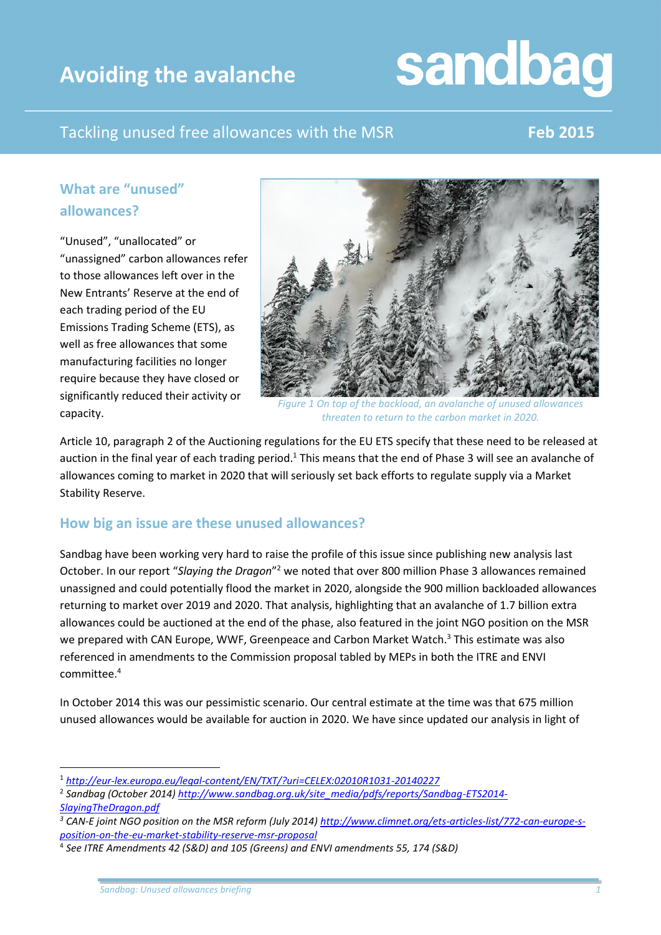### **Avoiding the avalanche**

# sandbag

### Tackling unused free allowances with the MSR **Feb 2015**

### **What are "unused" allowances?**

"Unused", "unallocated" or "unassigned" carbon allowances refer to those allowances left over in the New Entrants' Reserve at the end of each trading period of the EU Emissions Trading Scheme (ETS), as well as free allowances that some manufacturing facilities no longer require because they have closed or significantly reduced their activity or capacity.



*Figure 1 On top of the backload, an avalanche of unused allowances threaten to return to the carbon market in 2020.*

Article 10, paragraph 2 of the Auctioning regulations for the EU ETS specify that these need to be released at auction in the final year of each trading period.<sup>1</sup> This means that the end of Phase 3 will see an avalanche of allowances coming to market in 2020 that will seriously set back efforts to regulate supply via a Market Stability Reserve.

#### **How big an issue are these unused allowances?**

Sandbag have been working very hard to raise the profile of this issue since publishing new analysis last October. In our report "Slaying the Dragon"<sup>2</sup> we noted that over 800 million Phase 3 allowances remained unassigned and could potentially flood the market in 2020, alongside the 900 million backloaded allowances returning to market over 2019 and 2020. That analysis, highlighting that an avalanche of 1.7 billion extra allowances could be auctioned at the end of the phase, also featured in the joint NGO position on the MSR we prepared with CAN Europe, WWF, Greenpeace and Carbon Market Watch.<sup>3</sup> This estimate was also referenced in amendments to the Commission proposal tabled by MEPs in both the ITRE and ENVI committee.<sup>4</sup>

In October 2014 this was our pessimistic scenario. Our central estimate at the time was that 675 million unused allowances would be available for auction in 2020. We have since updated our analysis in light of

**.** 

<sup>1</sup> *<http://eur-lex.europa.eu/legal-content/EN/TXT/?uri=CELEX:02010R1031-20140227>*

<sup>2</sup> *Sandbag (October 2014[\) http://www.sandbag.org.uk/site\\_media/pdfs/reports/Sandbag-ETS2014-](http://www.sandbag.org.uk/site_media/pdfs/reports/Sandbag-ETS2014-SlayingTheDragon.pdf) [SlayingTheDragon.pdf](http://www.sandbag.org.uk/site_media/pdfs/reports/Sandbag-ETS2014-SlayingTheDragon.pdf)*

*<sup>3</sup> CAN-E joint NGO position on the MSR reform (July 2014[\) http://www.climnet.org/ets-articles-list/772-can-europe-s](http://www.climnet.org/ets-articles-list/772-can-europe-s-position-on-the-eu-market-stability-reserve-msr-proposal)[position-on-the-eu-market-stability-reserve-msr-proposal](http://www.climnet.org/ets-articles-list/772-can-europe-s-position-on-the-eu-market-stability-reserve-msr-proposal)*

<sup>4</sup> *See ITRE Amendments 42 (S&D) and 105 (Greens) and ENVI amendments 55, 174 (S&D)*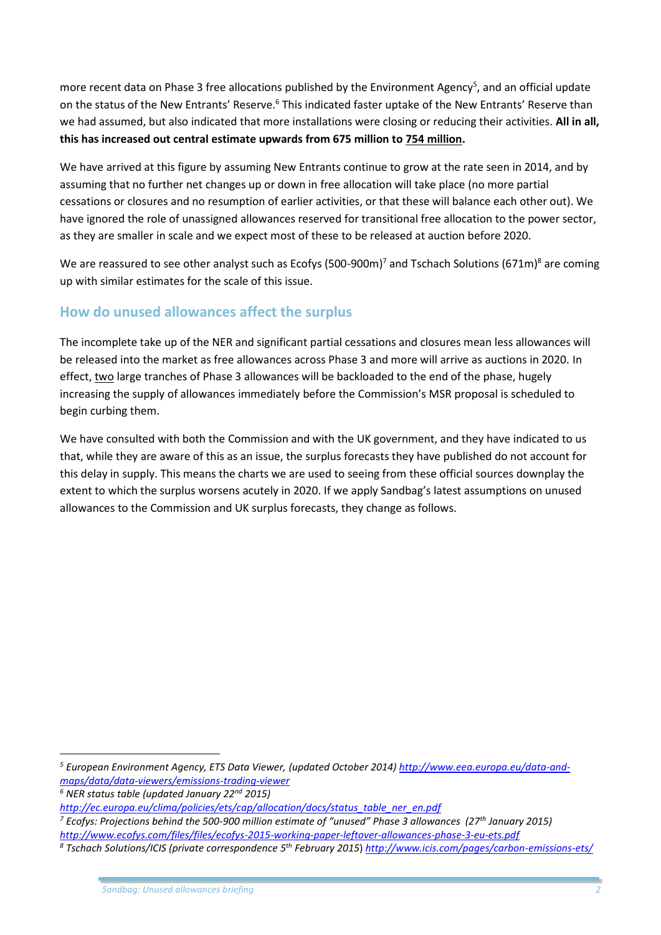more recent data on Phase 3 free allocations published by the Environment Agency<sup>5</sup>, and an official update on the status of the New Entrants' Reserve.<sup>6</sup> This indicated faster uptake of the New Entrants' Reserve than we had assumed, but also indicated that more installations were closing or reducing their activities. **All in all, this has increased out central estimate upwards from 675 million to 754 million.**

We have arrived at this figure by assuming New Entrants continue to grow at the rate seen in 2014, and by assuming that no further net changes up or down in free allocation will take place (no more partial cessations or closures and no resumption of earlier activities, or that these will balance each other out). We have ignored the role of unassigned allowances reserved for transitional free allocation to the power sector, as they are smaller in scale and we expect most of these to be released at auction before 2020.

We are reassured to see other analyst such as Ecofys (500-900m)<sup>7</sup> and Tschach Solutions (671m)<sup>8</sup> are coming up with similar estimates for the scale of this issue.

#### **How do unused allowances affect the surplus**

The incomplete take up of the NER and significant partial cessations and closures mean less allowances will be released into the market as free allowances across Phase 3 and more will arrive as auctions in 2020. In effect, two large tranches of Phase 3 allowances will be backloaded to the end of the phase, hugely increasing the supply of allowances immediately before the Commission's MSR proposal is scheduled to begin curbing them.

We have consulted with both the Commission and with the UK government, and they have indicated to us that, while they are aware of this as an issue, the surplus forecasts they have published do not account for this delay in supply. This means the charts we are used to seeing from these official sources downplay the extent to which the surplus worsens acutely in 2020. If we apply Sandbag's latest assumptions on unused allowances to the Commission and UK surplus forecasts, they change as follows.

 $\overline{a}$ 

*<sup>5</sup> European Environment Agency, ETS Data Viewer, (updated October 2014[\) http://www.eea.europa.eu/data-and](http://www.eea.europa.eu/data-and-maps/data/data-viewers/emissions-trading-viewer)[maps/data/data-viewers/emissions-trading-viewer](http://www.eea.europa.eu/data-and-maps/data/data-viewers/emissions-trading-viewer)*

*<sup>6</sup> NER status table (updated January 22nd 2015)* 

*[http://ec.europa.eu/clima/policies/ets/cap/allocation/docs/status\\_table\\_ner\\_en.pdf](http://ec.europa.eu/clima/policies/ets/cap/allocation/docs/status_table_ner_en.pdf)*

*<sup>7</sup> Ecofys: Projections behind the 500-900 million estimate of "unused" Phase 3 allowances (27th January 2015) <http://www.ecofys.com/files/files/ecofys-2015-working-paper-leftover-allowances-phase-3-eu-ets.pdf>*

*<sup>8</sup> Tschach Solutions/ICIS (private correspondence 5 th February 2015*) *<http://www.icis.com/pages/carbon-emissions-ets/>*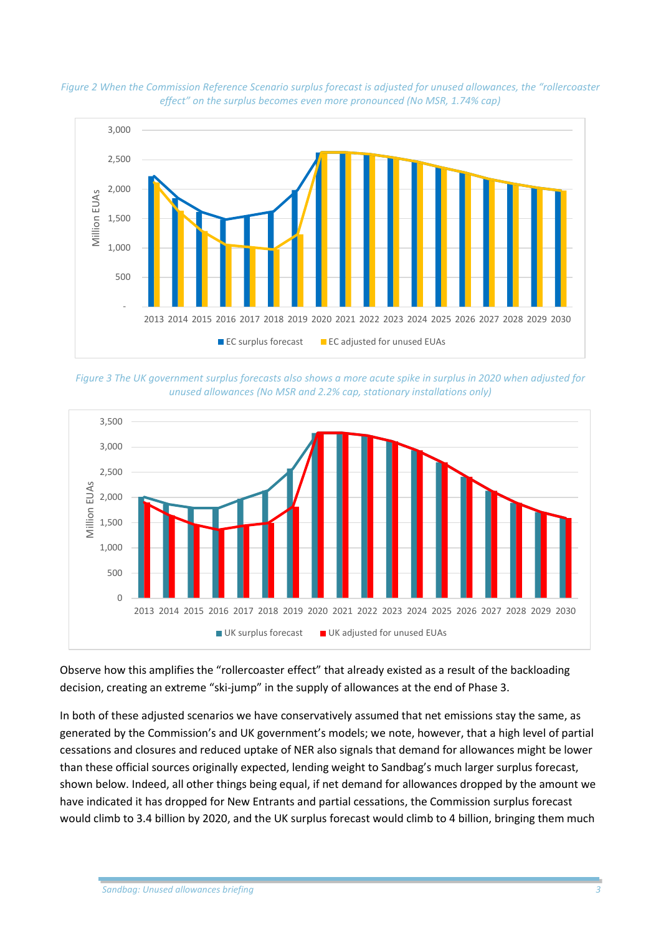



*Figure 3 The UK government surplus forecasts also shows a more acute spike in surplus in 2020 when adjusted for unused allowances (No MSR and 2.2% cap, stationary installations only)*



Observe how this amplifies the "rollercoaster effect" that already existed as a result of the backloading decision, creating an extreme "ski-jump" in the supply of allowances at the end of Phase 3.

In both of these adjusted scenarios we have conservatively assumed that net emissions stay the same, as generated by the Commission's and UK government's models; we note, however, that a high level of partial cessations and closures and reduced uptake of NER also signals that demand for allowances might be lower than these official sources originally expected, lending weight to Sandbag's much larger surplus forecast, shown below. Indeed, all other things being equal, if net demand for allowances dropped by the amount we have indicated it has dropped for New Entrants and partial cessations, the Commission surplus forecast would climb to 3.4 billion by 2020, and the UK surplus forecast would climb to 4 billion, bringing them much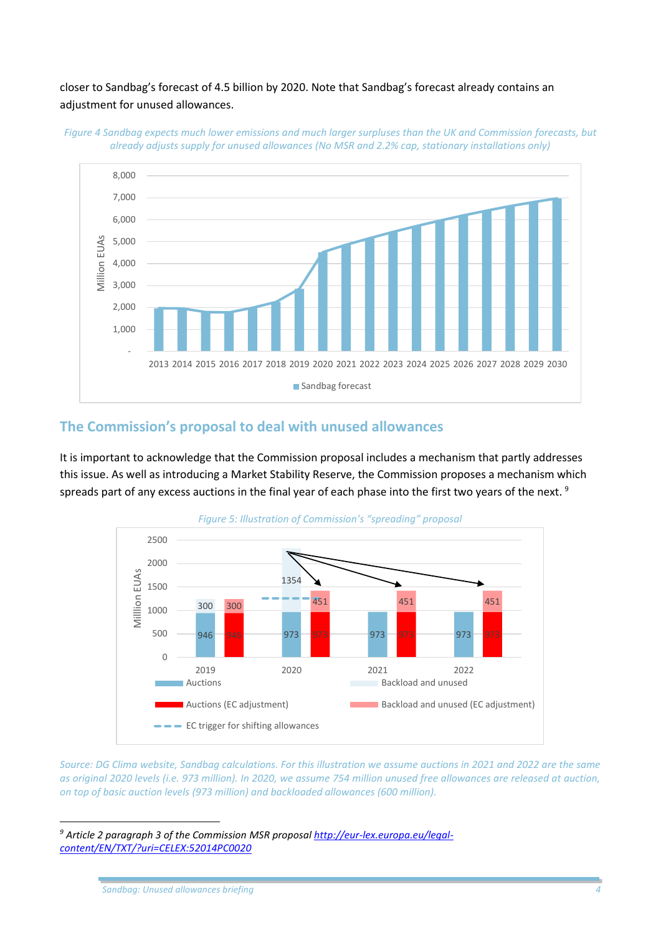#### closer to Sandbag's forecast of 4.5 billion by 2020. Note that Sandbag's forecast already contains an adjustment for unused allowances.



*Figure 4 Sandbag expects much lower emissions and much larger surpluses than the UK and Commission forecasts, but already adjusts supply for unused allowances (No MSR and 2.2% cap, stationary installations only)*

#### **The Commission's proposal to deal with unused allowances**

It is important to acknowledge that the Commission proposal includes a mechanism that partly addresses this issue. As well as introducing a Market Stability Reserve, the Commission proposes a mechanism which spreads part of any excess auctions in the final year of each phase into the first two years of the next.<sup>9</sup>



*Source: DG Clima website, Sandbag calculations. For this illustration we assume auctions in 2021 and 2022 are the same as original 2020 levels (i.e. 973 million). In 2020, we assume 754 million unused free allowances are released at auction, on top of basic auction levels (973 million) and backloaded allowances (600 million).* 

**.** 

*<sup>9</sup> Article 2 paragraph 3 of the Commission MSR proposal [http://eur-lex.europa.eu/legal](http://eur-lex.europa.eu/legal-content/EN/TXT/?uri=CELEX:52014PC0020)[content/EN/TXT/?uri=CELEX:52014PC0020](http://eur-lex.europa.eu/legal-content/EN/TXT/?uri=CELEX:52014PC0020)*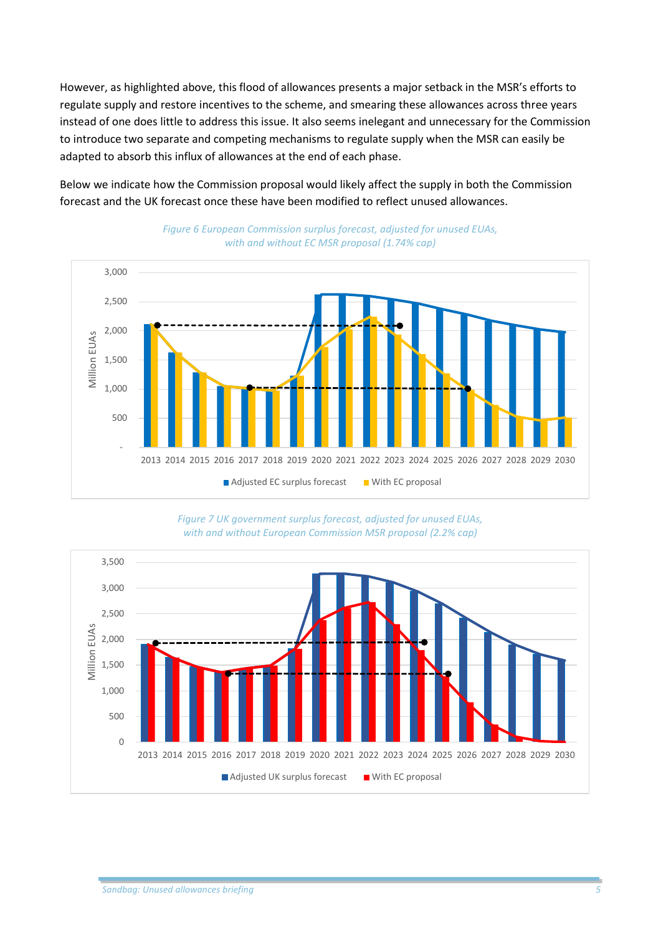However, as highlighted above, this flood of allowances presents a major setback in the MSR's efforts to regulate supply and restore incentives to the scheme, and smearing these allowances across three years instead of one does little to address this issue. It also seems inelegant and unnecessary for the Commission to introduce two separate and competing mechanisms to regulate supply when the MSR can easily be adapted to absorb this influx of allowances at the end of each phase.

Below we indicate how the Commission proposal would likely affect the supply in both the Commission forecast and the UK forecast once these have been modified to reflect unused allowances.





*Figure 7 UK government surplus forecast, adjusted for unused EUAs, with and without European Commission MSR proposal (2.2% cap)*

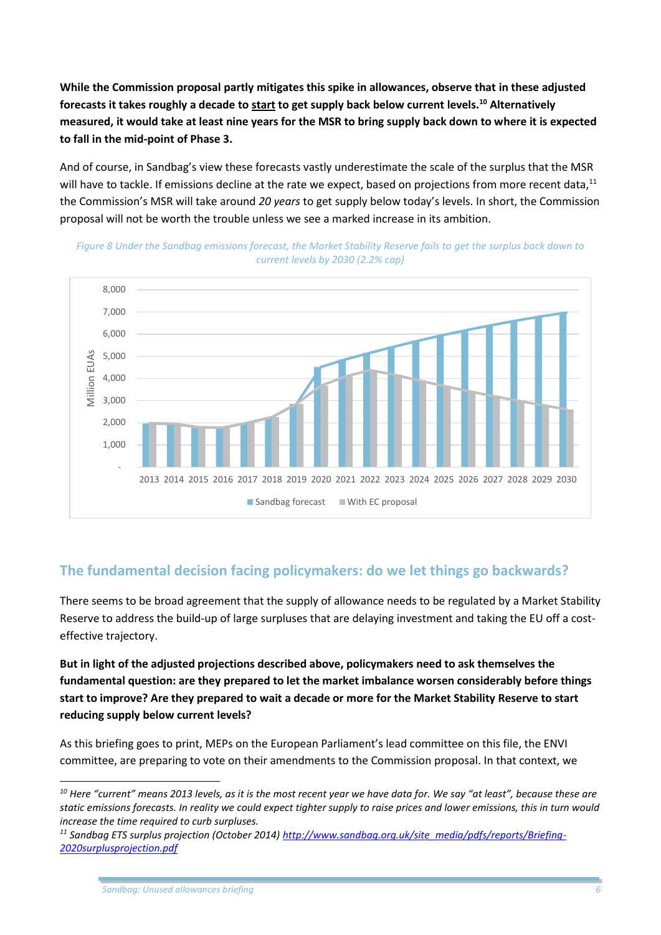**While the Commission proposal partly mitigates this spike in allowances, observe that in these adjusted forecasts it takes roughly a decade to start to get supply back below current levels. <sup>10</sup> Alternatively measured, it would take at least nine years for the MSR to bring supply back down to where it is expected to fall in the mid-point of Phase 3.**

And of course, in Sandbag's view these forecasts vastly underestimate the scale of the surplus that the MSR will have to tackle. If emissions decline at the rate we expect, based on projections from more recent data,<sup>11</sup> the Commission's MSR will take around *20 years* to get supply below today's levels. In short, the Commission proposal will not be worth the trouble unless we see a marked increase in its ambition.





#### **The fundamental decision facing policymakers: do we let things go backwards?**

There seems to be broad agreement that the supply of allowance needs to be regulated by a Market Stability Reserve to address the build-up of large surpluses that are delaying investment and taking the EU off a costeffective trajectory.

**But in light of the adjusted projections described above, policymakers need to ask themselves the fundamental question: are they prepared to let the market imbalance worsen considerably before things start to improve? Are they prepared to wait a decade or more for the Market Stability Reserve to start reducing supply below current levels?**

As this briefing goes to print, MEPs on the European Parliament's lead committee on this file, the ENVI committee, are preparing to vote on their amendments to the Commission proposal. In that context, we

 $\overline{a}$ 

*<sup>10</sup> Here "current" means 2013 levels, as it is the most recent year we have data for. We say "at least", because these are static emissions forecasts. In reality we could expect tighter supply to raise prices and lower emissions, this in turn would increase the time required to curb surpluses.*

*<sup>11</sup> Sandbag ETS surplus projection (October 2014) [http://www.sandbag.org.uk/site\\_media/pdfs/reports/Briefing-](http://www.sandbag.org.uk/site_media/pdfs/reports/Briefing-2020surplusprojection.pdf)[2020surplusprojection.pdf](http://www.sandbag.org.uk/site_media/pdfs/reports/Briefing-2020surplusprojection.pdf)*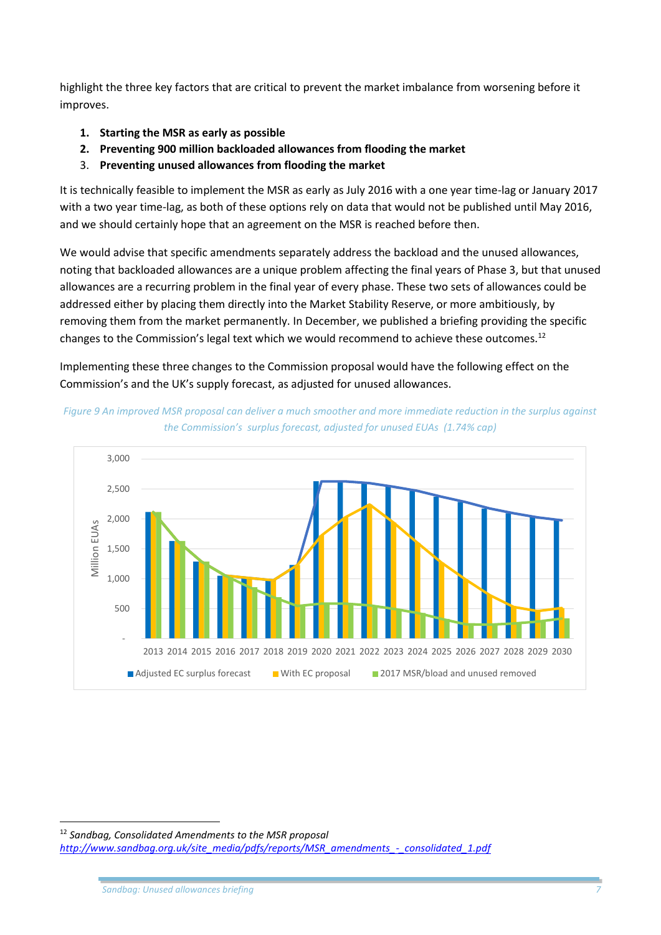highlight the three key factors that are critical to prevent the market imbalance from worsening before it improves.

- **1. Starting the MSR as early as possible**
- **2. Preventing 900 million backloaded allowances from flooding the market**
- 3. **Preventing unused allowances from flooding the market**

It is technically feasible to implement the MSR as early as July 2016 with a one year time-lag or January 2017 with a two year time-lag, as both of these options rely on data that would not be published until May 2016, and we should certainly hope that an agreement on the MSR is reached before then.

We would advise that specific amendments separately address the backload and the unused allowances, noting that backloaded allowances are a unique problem affecting the final years of Phase 3, but that unused allowances are a recurring problem in the final year of every phase. These two sets of allowances could be addressed either by placing them directly into the Market Stability Reserve, or more ambitiously, by removing them from the market permanently. In December, we published a briefing providing the specific changes to the Commission's legal text which we would recommend to achieve these outcomes.<sup>12</sup>

Implementing these three changes to the Commission proposal would have the following effect on the Commission's and the UK's supply forecast, as adjusted for unused allowances.





**<sup>.</sup>** <sup>12</sup> *Sandbag, Consolidated Amendments to the MSR proposal [http://www.sandbag.org.uk/site\\_media/pdfs/reports/MSR\\_amendments\\_-\\_consolidated\\_1.pdf](http://www.sandbag.org.uk/site_media/pdfs/reports/MSR_amendments_-_consolidated_1.pdf)*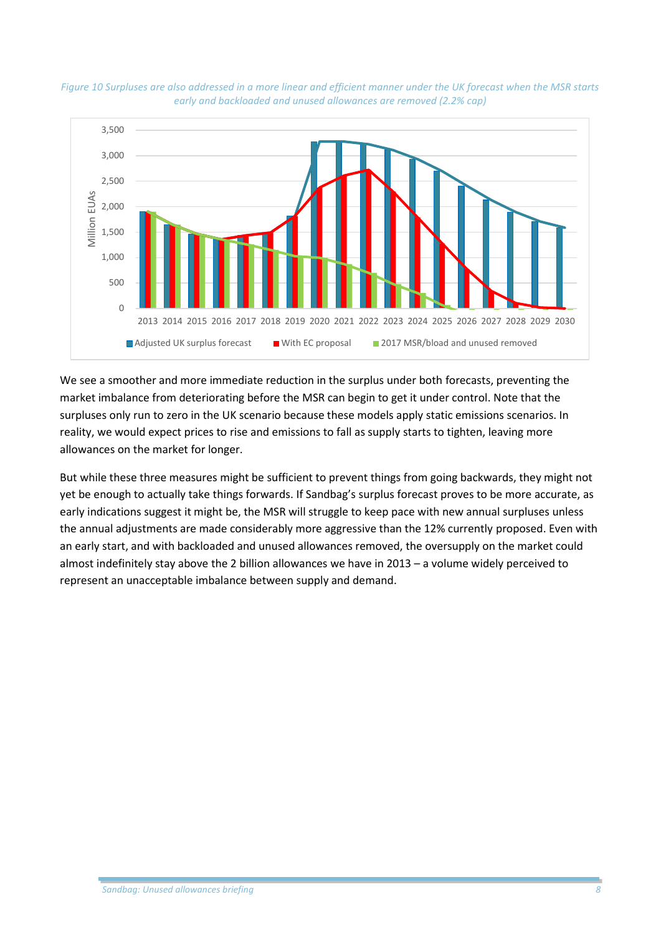



We see a smoother and more immediate reduction in the surplus under both forecasts, preventing the market imbalance from deteriorating before the MSR can begin to get it under control. Note that the surpluses only run to zero in the UK scenario because these models apply static emissions scenarios. In reality, we would expect prices to rise and emissions to fall as supply starts to tighten, leaving more allowances on the market for longer.

But while these three measures might be sufficient to prevent things from going backwards, they might not yet be enough to actually take things forwards. If Sandbag's surplus forecast proves to be more accurate, as early indications suggest it might be, the MSR will struggle to keep pace with new annual surpluses unless the annual adjustments are made considerably more aggressive than the 12% currently proposed. Even with an early start, and with backloaded and unused allowances removed, the oversupply on the market could almost indefinitely stay above the 2 billion allowances we have in 2013 – a volume widely perceived to represent an unacceptable imbalance between supply and demand.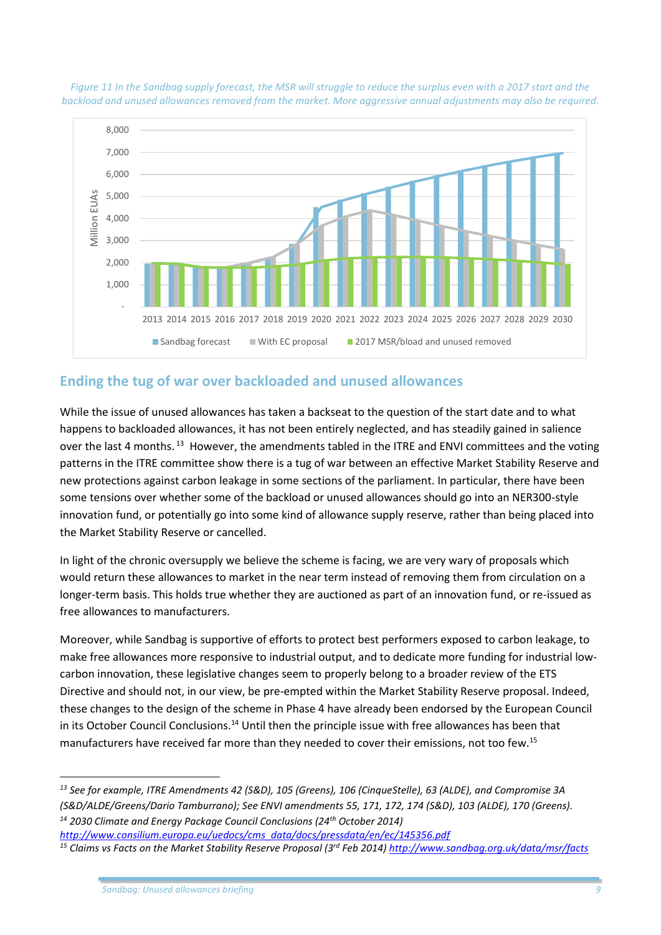

*Figure 11 In the Sandbag supply forecast, the MSR will struggle to reduce the surplus even with a 2017 start and the backload and unused allowances removed from the market. More aggressive annual adjustments may also be required.*

#### **Ending the tug of war over backloaded and unused allowances**

While the issue of unused allowances has taken a backseat to the question of the start date and to what happens to backloaded allowances, it has not been entirely neglected, and has steadily gained in salience over the last 4 months.<sup>13</sup> However, the amendments tabled in the ITRE and ENVI committees and the voting patterns in the ITRE committee show there is a tug of war between an effective Market Stability Reserve and new protections against carbon leakage in some sections of the parliament. In particular, there have been some tensions over whether some of the backload or unused allowances should go into an NER300-style innovation fund, or potentially go into some kind of allowance supply reserve, rather than being placed into the Market Stability Reserve or cancelled.

In light of the chronic oversupply we believe the scheme is facing, we are very wary of proposals which would return these allowances to market in the near term instead of removing them from circulation on a longer-term basis. This holds true whether they are auctioned as part of an innovation fund, or re-issued as free allowances to manufacturers.

Moreover, while Sandbag is supportive of efforts to protect best performers exposed to carbon leakage, to make free allowances more responsive to industrial output, and to dedicate more funding for industrial lowcarbon innovation, these legislative changes seem to properly belong to a broader review of the ETS Directive and should not, in our view, be pre-empted within the Market Stability Reserve proposal. Indeed, these changes to the design of the scheme in Phase 4 have already been endorsed by the European Council in its October Council Conclusions.<sup>14</sup> Until then the principle issue with free allowances has been that manufacturers have received far more than they needed to cover their emissions, not too few.<sup>15</sup>

**.** 

*<sup>13</sup> See for example, ITRE Amendments 42 (S&D), 105 (Greens), 106 (CinqueStelle), 63 (ALDE), and Compromise 3A (S&D/ALDE/Greens/Dario Tamburrano); See ENVI amendments 55, 171, 172, 174 (S&D), 103 (ALDE), 170 (Greens). <sup>14</sup> 2030 Climate and Energy Package Council Conclusions (24th October 2014)* 

*[http://www.consilium.europa.eu/uedocs/cms\\_data/docs/pressdata/en/ec/145356.pdf](http://www.consilium.europa.eu/uedocs/cms_data/docs/pressdata/en/ec/145356.pdf)*

*<sup>15</sup> Claims vs Facts on the Market Stability Reserve Proposal (3rd Feb 2014)<http://www.sandbag.org.uk/data/msr/facts>*